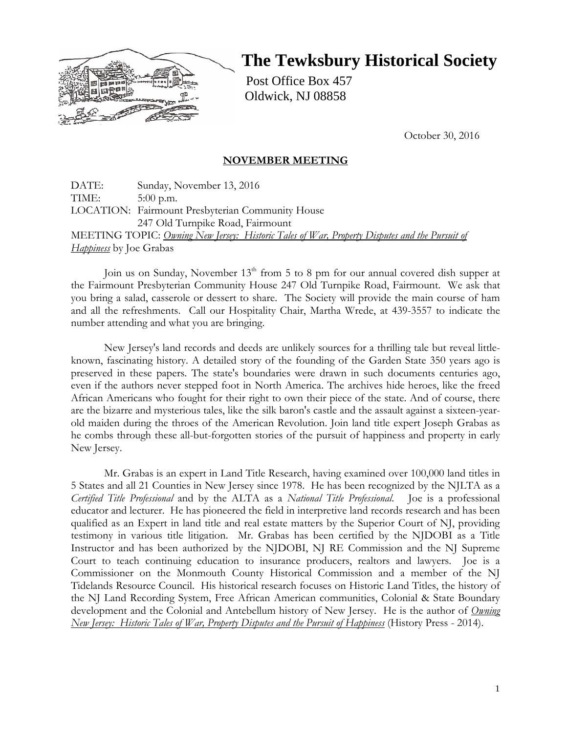

# **The Tewksbury Historical Society**

Post Office Box 457 Oldwick, NJ 08858

October 30, 2016

## **NOVEMBER MEETING**

DATE: Sunday, November 13, 2016 TIME: 5:00 p.m. LOCATION: Fairmount Presbyterian Community House 247 Old Turnpike Road, Fairmount MEETING TOPIC: *Owning New Jersey: Historic Tales of War, Property Disputes and the Pursuit of Happiness* by Joe Grabas

Join us on Sunday, November  $13<sup>th</sup>$  from 5 to 8 pm for our annual covered dish supper at the Fairmount Presbyterian Community House 247 Old Turnpike Road, Fairmount. We ask that you bring a salad, casserole or dessert to share. The Society will provide the main course of ham and all the refreshments. Call our Hospitality Chair, Martha Wrede, at 439-3557 to indicate the number attending and what you are bringing.

New Jersey's land records and deeds are unlikely sources for a thrilling tale but reveal littleknown, fascinating history. A detailed story of the founding of the Garden State 350 years ago is preserved in these papers. The state's boundaries were drawn in such documents centuries ago, even if the authors never stepped foot in North America. The archives hide heroes, like the freed African Americans who fought for their right to own their piece of the state. And of course, there are the bizarre and mysterious tales, like the silk baron's castle and the assault against a sixteen-yearold maiden during the throes of the American Revolution. Join land title expert Joseph Grabas as he combs through these all-but-forgotten stories of the pursuit of happiness and property in early New Jersey.

Mr. Grabas is an expert in Land Title Research, having examined over 100,000 land titles in 5 States and all 21 Counties in New Jersey since 1978. He has been recognized by the NJLTA as a *Certified Title Professional* and by the ALTA as a *National Title Professional*. Joe is a professional educator and lecturer. He has pioneered the field in interpretive land records research and has been qualified as an Expert in land title and real estate matters by the Superior Court of NJ, providing testimony in various title litigation. Mr. Grabas has been certified by the NJDOBI as a Title Instructor and has been authorized by the NJDOBI, NJ RE Commission and the NJ Supreme Court to teach continuing education to insurance producers, realtors and lawyers. Joe is a Commissioner on the Monmouth County Historical Commission and a member of the NJ Tidelands Resource Council. His historical research focuses on Historic Land Titles, the history of the NJ Land Recording System, Free African American communities, Colonial & State Boundary development and the Colonial and Antebellum history of New Jersey. He is the author of *Owning New Jersey: Historic Tales of War, Property Disputes and the Pursuit of Happiness* (History Press - 2014).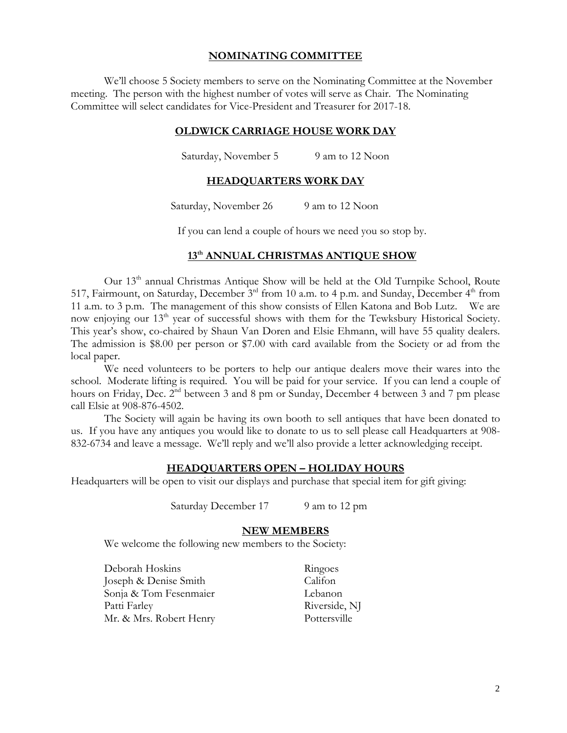### **NOMINATING COMMITTEE**

We'll choose 5 Society members to serve on the Nominating Committee at the November meeting. The person with the highest number of votes will serve as Chair. The Nominating Committee will select candidates for Vice-President and Treasurer for 2017-18.

## **OLDWICK CARRIAGE HOUSE WORK DAY**

Saturday, November 5 9 am to 12 Noon

#### **HEADQUARTERS WORK DAY**

Saturday, November 26 9 am to 12 Noon

If you can lend a couple of hours we need you so stop by.

## **13th ANNUAL CHRISTMAS ANTIQUE SHOW**

Our 13<sup>th</sup> annual Christmas Antique Show will be held at the Old Turnpike School, Route 517, Fairmount, on Saturday, December  $3<sup>rd</sup>$  from 10 a.m. to 4 p.m. and Sunday, December  $4<sup>th</sup>$  from 11 a.m. to 3 p.m. The management of this show consists of Ellen Katona and Bob Lutz. We are now enjoying our  $13<sup>th</sup>$  year of successful shows with them for the Tewksbury Historical Society. This year's show, co-chaired by Shaun Van Doren and Elsie Ehmann, will have 55 quality dealers. The admission is \$8.00 per person or \$7.00 with card available from the Society or ad from the local paper.

We need volunteers to be porters to help our antique dealers move their wares into the school. Moderate lifting is required. You will be paid for your service. If you can lend a couple of hours on Friday, Dec.  $2^{nd}$  between 3 and 8 pm or Sunday, December 4 between 3 and 7 pm please call Elsie at 908-876-4502.

The Society will again be having its own booth to sell antiques that have been donated to us. If you have any antiques you would like to donate to us to sell please call Headquarters at 908- 832-6734 and leave a message. We'll reply and we'll also provide a letter acknowledging receipt.

### **HEADQUARTERS OPEN – HOLIDAY HOURS**

Headquarters will be open to visit our displays and purchase that special item for gift giving:

Saturday December 17 9 am to 12 pm

#### **NEW MEMBERS**

We welcome the following new members to the Society:

Deborah Hoskins Ringoes Joseph & Denise Smith Califon Sonja & Tom Fesenmaier Lebanon Patti Farley Riverside, NJ Mr. & Mrs. Robert Henry Pottersville